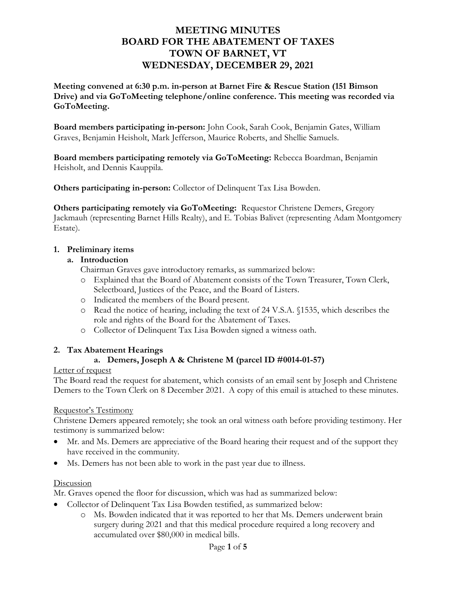# **MEETING MINUTES BOARD FOR THE ABATEMENT OF TAXES TOWN OF BARNET, VT WEDNESDAY, DECEMBER 29, 2021**

**Meeting convened at 6:30 p.m. in-person at Barnet Fire & Rescue Station (151 Bimson Drive) and via GoToMeeting telephone/online conference. This meeting was recorded via GoToMeeting.** 

**Board members participating in-person:** John Cook, Sarah Cook, Benjamin Gates, William Graves, Benjamin Heisholt, Mark Jefferson, Maurice Roberts, and Shellie Samuels.

**Board members participating remotely via GoToMeeting:** Rebecca Boardman, Benjamin Heisholt, and Dennis Kauppila.

**Others participating in-person:** Collector of Delinquent Tax Lisa Bowden.

**Others participating remotely via GoToMeeting:** Requestor Christene Demers, Gregory Jackmauh (representing Barnet Hills Realty), and E. Tobias Balivet (representing Adam Montgomery Estate).

### **1. Preliminary items**

### **a. Introduction**

Chairman Graves gave introductory remarks, as summarized below:

- o Explained that the Board of Abatement consists of the Town Treasurer, Town Clerk, Selectboard, Justices of the Peace, and the Board of Listers.
- o Indicated the members of the Board present.
- o Read the notice of hearing, including the text of 24 V.S.A. §1535, which describes the role and rights of the Board for the Abatement of Taxes.
- o Collector of Delinquent Tax Lisa Bowden signed a witness oath.

### **2. Tax Abatement Hearings**

### **a. Demers, Joseph A & Christene M (parcel ID #0014-01-57)**

### Letter of request

The Board read the request for abatement, which consists of an email sent by Joseph and Christene Demers to the Town Clerk on 8 December 2021. A copy of this email is attached to these minutes.

### Requestor's Testimony

Christene Demers appeared remotely; she took an oral witness oath before providing testimony. Her testimony is summarized below:

- Mr. and Ms. Demers are appreciative of the Board hearing their request and of the support they have received in the community.
- Ms. Demers has not been able to work in the past year due to illness.

### Discussion

Mr. Graves opened the floor for discussion, which was had as summarized below:

- Collector of Delinquent Tax Lisa Bowden testified, as summarized below:
	- o Ms. Bowden indicated that it was reported to her that Ms. Demers underwent brain surgery during 2021 and that this medical procedure required a long recovery and accumulated over \$80,000 in medical bills.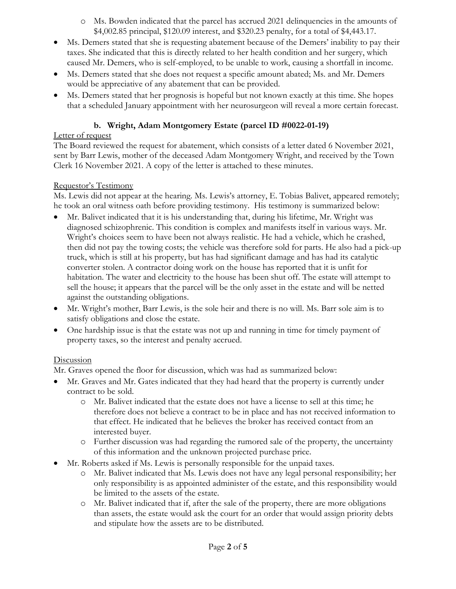- o Ms. Bowden indicated that the parcel has accrued 2021 delinquencies in the amounts of \$4,002.85 principal, \$120.09 interest, and \$320.23 penalty, for a total of \$4,443.17.
- Ms. Demers stated that she is requesting abatement because of the Demers' inability to pay their taxes. She indicated that this is directly related to her health condition and her surgery, which caused Mr. Demers, who is self-employed, to be unable to work, causing a shortfall in income.
- Ms. Demers stated that she does not request a specific amount abated; Ms. and Mr. Demers would be appreciative of any abatement that can be provided.
- Ms. Demers stated that her prognosis is hopeful but not known exactly at this time. She hopes that a scheduled January appointment with her neurosurgeon will reveal a more certain forecast.

## **b. Wright, Adam Montgomery Estate (parcel ID #0022-01-19)**

## Letter of request

The Board reviewed the request for abatement, which consists of a letter dated 6 November 2021, sent by Barr Lewis, mother of the deceased Adam Montgomery Wright, and received by the Town Clerk 16 November 2021. A copy of the letter is attached to these minutes.

## Requestor's Testimony

Ms. Lewis did not appear at the hearing. Ms. Lewis's attorney, E. Tobias Balivet, appeared remotely; he took an oral witness oath before providing testimony. His testimony is summarized below:

- Mr. Balivet indicated that it is his understanding that, during his lifetime, Mr. Wright was diagnosed schizophrenic. This condition is complex and manifests itself in various ways. Mr. Wright's choices seem to have been not always realistic. He had a vehicle, which he crashed, then did not pay the towing costs; the vehicle was therefore sold for parts. He also had a pick-up truck, which is still at his property, but has had significant damage and has had its catalytic converter stolen. A contractor doing work on the house has reported that it is unfit for habitation. The water and electricity to the house has been shut off. The estate will attempt to sell the house; it appears that the parcel will be the only asset in the estate and will be netted against the outstanding obligations.
- Mr. Wright's mother, Barr Lewis, is the sole heir and there is no will. Ms. Barr sole aim is to satisfy obligations and close the estate.
- One hardship issue is that the estate was not up and running in time for timely payment of property taxes, so the interest and penalty accrued.

# **Discussion**

Mr. Graves opened the floor for discussion, which was had as summarized below:

- Mr. Graves and Mr. Gates indicated that they had heard that the property is currently under contract to be sold.
	- o Mr. Balivet indicated that the estate does not have a license to sell at this time; he therefore does not believe a contract to be in place and has not received information to that effect. He indicated that he believes the broker has received contact from an interested buyer.
	- o Further discussion was had regarding the rumored sale of the property, the uncertainty of this information and the unknown projected purchase price.
- Mr. Roberts asked if Ms. Lewis is personally responsible for the unpaid taxes.
	- o Mr. Balivet indicated that Ms. Lewis does not have any legal personal responsibility; her only responsibility is as appointed administer of the estate, and this responsibility would be limited to the assets of the estate.
	- o Mr. Balivet indicated that if, after the sale of the property, there are more obligations than assets, the estate would ask the court for an order that would assign priority debts and stipulate how the assets are to be distributed.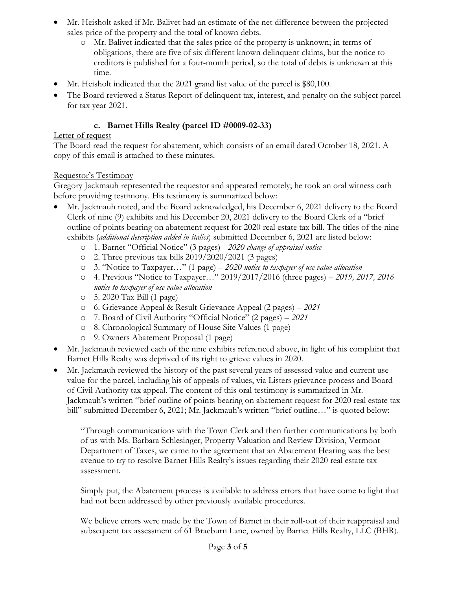- Mr. Heisholt asked if Mr. Balivet had an estimate of the net difference between the projected sales price of the property and the total of known debts.
	- o Mr. Balivet indicated that the sales price of the property is unknown; in terms of obligations, there are five of six different known delinquent claims, but the notice to creditors is published for a four-month period, so the total of debts is unknown at this time.
- Mr. Heisholt indicated that the 2021 grand list value of the parcel is \$80,100.
- The Board reviewed a Status Report of delinquent tax, interest, and penalty on the subject parcel for tax year 2021.

## **c. Barnet Hills Realty (parcel ID #0009-02-33)**

## Letter of request

The Board read the request for abatement, which consists of an email dated October 18, 2021. A copy of this email is attached to these minutes.

## Requestor's Testimony

Gregory Jackmauh represented the requestor and appeared remotely; he took an oral witness oath before providing testimony. His testimony is summarized below:

- Mr. Jackmauh noted, and the Board acknowledged, his December 6, 2021 delivery to the Board Clerk of nine (9) exhibits and his December 20, 2021 delivery to the Board Clerk of a "brief outline of points bearing on abatement request for 2020 real estate tax bill. The titles of the nine exhibits (*additional description added in italics*) submitted December 6, 2021 are listed below:
	- o 1. Barnet "Official Notice" (3 pages) *2020 change of appraisal notice*
	- o 2. Three previous tax bills 2019/2020/2021 (3 pages)
	- o 3. "Notice to Taxpayer…" (1 page) *2020 notice to taxpayer of use value allocation*
	- o 4. Previous "Notice to Taxpayer…" 2019/2017/2016 (three pages) *2019, 2017, 2016 notice to taxpayer of use value allocation*
	- o 5. 2020 Tax Bill (1 page)
	- o 6. Grievance Appeal & Result Grievance Appeal (2 pages) *2021*
	- o 7. Board of Civil Authority "Official Notice" (2 pages) *2021*
	- o 8. Chronological Summary of House Site Values (1 page)
	- o 9. Owners Abatement Proposal (1 page)
- Mr. Jackmauh reviewed each of the nine exhibits referenced above, in light of his complaint that Barnet Hills Realty was deprived of its right to grieve values in 2020.
- Mr. Jackmauh reviewed the history of the past several years of assessed value and current use value for the parcel, including his of appeals of values, via Listers grievance process and Board of Civil Authority tax appeal. The content of this oral testimony is summarized in Mr. Jackmauh's written "brief outline of points bearing on abatement request for 2020 real estate tax bill" submitted December 6, 2021; Mr. Jackmauh's written "brief outline…" is quoted below:

"Through communications with the Town Clerk and then further communications by both of us with Ms. Barbara Schlesinger, Property Valuation and Review Division, Vermont Department of Taxes, we came to the agreement that an Abatement Hearing was the best avenue to try to resolve Barnet Hills Realty's issues regarding their 2020 real estate tax assessment.

Simply put, the Abatement process is available to address errors that have come to light that had not been addressed by other previously available procedures.

We believe errors were made by the Town of Barnet in their roll-out of their reappraisal and subsequent tax assessment of 61 Braeburn Lane, owned by Barnet Hills Realty, LLC (BHR).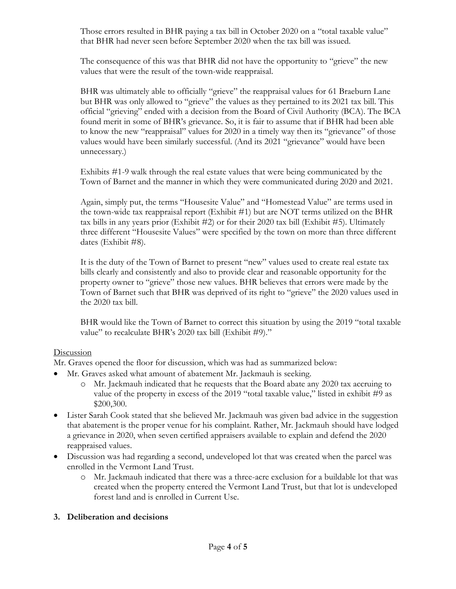Those errors resulted in BHR paying a tax bill in October 2020 on a "total taxable value" that BHR had never seen before September 2020 when the tax bill was issued.

The consequence of this was that BHR did not have the opportunity to "grieve" the new values that were the result of the town-wide reappraisal.

BHR was ultimately able to officially "grieve" the reappraisal values for 61 Braeburn Lane but BHR was only allowed to "grieve" the values as they pertained to its 2021 tax bill. This official "grieving" ended with a decision from the Board of Civil Authority (BCA). The BCA found merit in some of BHR's grievance. So, it is fair to assume that if BHR had been able to know the new "reappraisal" values for 2020 in a timely way then its "grievance" of those values would have been similarly successful. (And its 2021 "grievance" would have been unnecessary.)

Exhibits #1-9 walk through the real estate values that were being communicated by the Town of Barnet and the manner in which they were communicated during 2020 and 2021.

Again, simply put, the terms "Housesite Value" and "Homestead Value" are terms used in the town-wide tax reappraisal report (Exhibit #1) but are NOT terms utilized on the BHR tax bills in any years prior (Exhibit #2) or for their 2020 tax bill (Exhibit #5). Ultimately three different "Housesite Values" were specified by the town on more than three different dates (Exhibit #8).

It is the duty of the Town of Barnet to present "new" values used to create real estate tax bills clearly and consistently and also to provide clear and reasonable opportunity for the property owner to "grieve" those new values. BHR believes that errors were made by the Town of Barnet such that BHR was deprived of its right to "grieve" the 2020 values used in the 2020 tax bill.

BHR would like the Town of Barnet to correct this situation by using the 2019 "total taxable value" to recalculate BHR's 2020 tax bill (Exhibit #9)."

### Discussion

Mr. Graves opened the floor for discussion, which was had as summarized below:

- Mr. Graves asked what amount of abatement Mr. Jackmauh is seeking.
	- o Mr. Jackmauh indicated that he requests that the Board abate any 2020 tax accruing to value of the property in excess of the 2019 "total taxable value," listed in exhibit #9 as \$200,300.
- Lister Sarah Cook stated that she believed Mr. Jackmauh was given bad advice in the suggestion that abatement is the proper venue for his complaint. Rather, Mr. Jackmauh should have lodged a grievance in 2020, when seven certified appraisers available to explain and defend the 2020 reappraised values.
- Discussion was had regarding a second, undeveloped lot that was created when the parcel was enrolled in the Vermont Land Trust.
	- o Mr. Jackmauh indicated that there was a three-acre exclusion for a buildable lot that was created when the property entered the Vermont Land Trust, but that lot is undeveloped forest land and is enrolled in Current Use.

### **3. Deliberation and decisions**